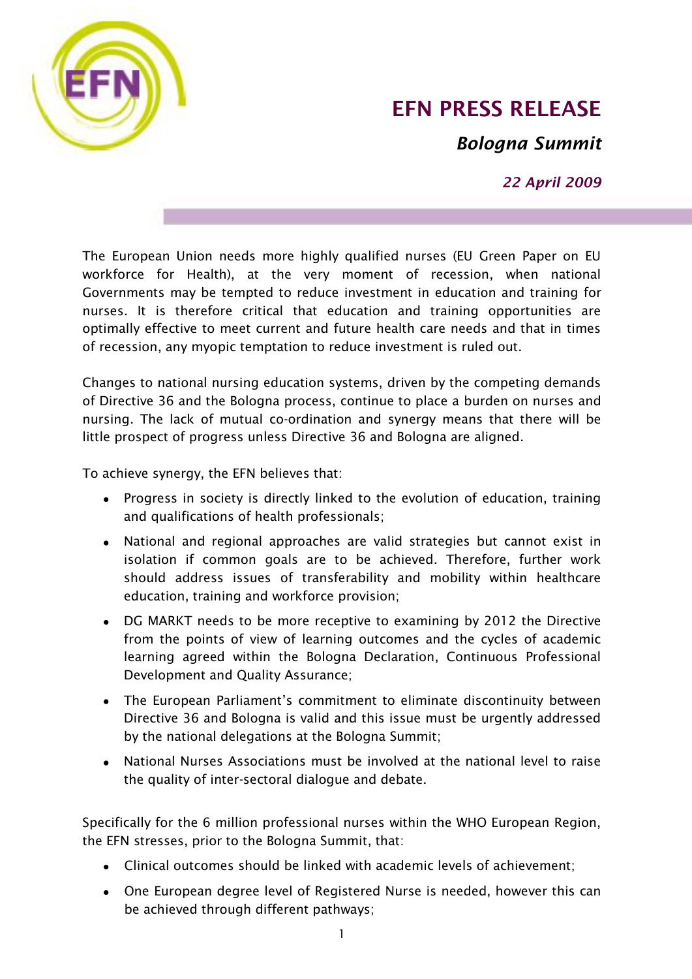

## **EFN PRESS RELEASE**

*Bologna Summit*

*22 April 2009*

The European Union needs more highly qualified nurses (EU Green Paper on EU workforce for Health), at the very moment of recession, when national Governments may be tempted to reduce investment in education and training for nurses. It is therefore critical that education and training opportunities are optimally effective to meet current and future health care needs and that in times of recession, any myopic temptation to reduce investment is ruled out.

Changes to national nursing education systems, driven by the competing demands of Directive 36 and the Bologna process, continue to place a burden on nurses and nursing. The lack of mutual co-ordination and synergy means that there will be little prospect of progress unless Directive 36 and Bologna are aligned.

To achieve synergy, the EFN believes that:

- Progress in society is directly linked to the evolution of education, training and qualifications of health professionals;
- National and regional approaches are valid strategies but cannot exist in isolation if common goals are to be achieved. Therefore, further work should address issues of transferability and mobility within healthcare education, training and workforce provision;
- DG MARKT needs to be more receptive to examining by 2012 the Directive from the points of view of learning outcomes and the cycles of academic learning agreed within the Bologna Declaration, Continuous Professional Development and Quality Assurance;
- The European Parliament's commitment to eliminate discontinuity between Directive 36 and Bologna is valid and this issue must be urgently addressed by the national delegations at the Bologna Summit;
- National Nurses Associations must be involved at the national level to raise the quality of inter-sectoral dialogue and debate.

Specifically for the 6 million professional nurses within the WHO European Region, the EFN stresses, prior to the Bologna Summit, that:

- Clinical outcomes should be linked with academic levels of achievement;
- One European degree level of Registered Nurse is needed, however this can be achieved through different pathways;